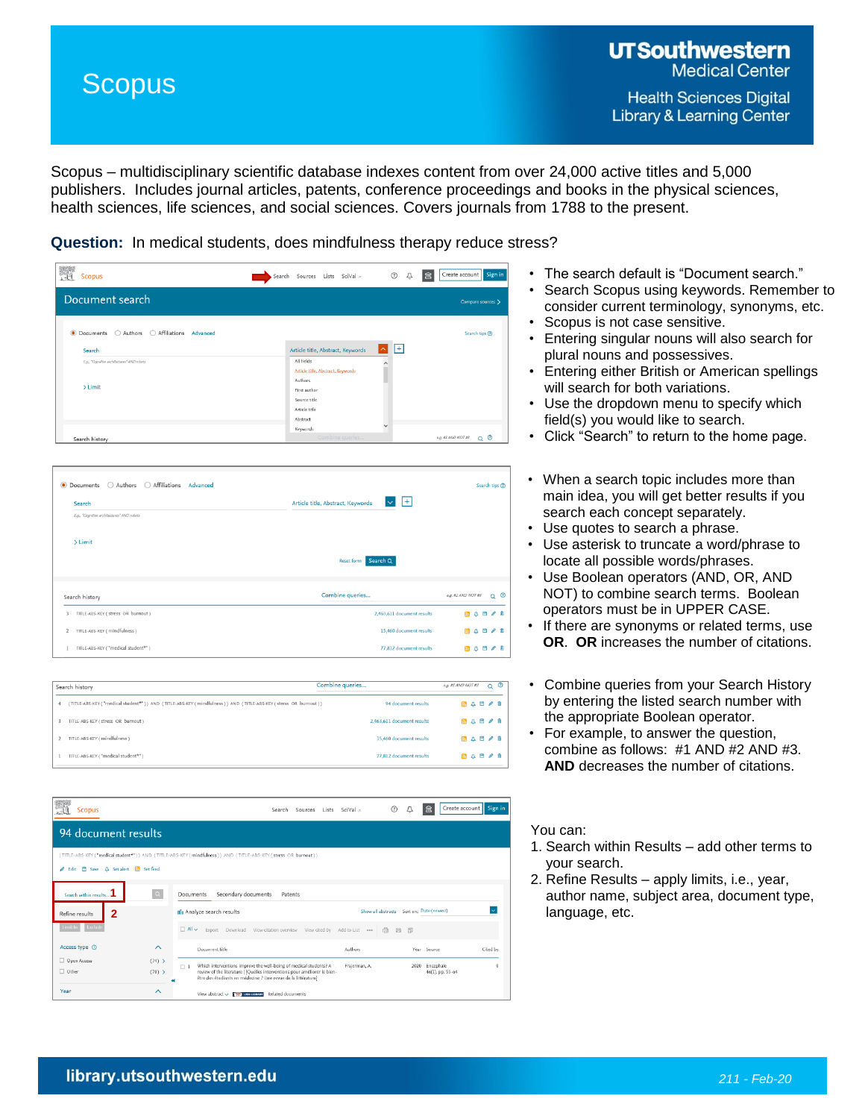## **Scopus**

Scopus – multidisciplinary scientific database indexes content from over 24,000 active titles and 5,000 publishers. Includes journal articles, patents, conference proceedings and books in the physical sciences, health sciences, life sciences, and social sciences. Covers journals from 1788 to the present.

**Question:** In medical students, does mindfulness therapy reduce stress?

| Scopus                                        | Search Sources Lists SciVal »     | $\odot$<br>Û                 | Create account Sign in<br>│盒         |
|-----------------------------------------------|-----------------------------------|------------------------------|--------------------------------------|
| Document search                               |                                   |                              | Compare sources >                    |
| ● Documents ○ Authors ○ Affiliations Advanced |                                   |                              | Search tips ®                        |
| Search                                        | Article title, Abstract, Keywords | $ + $<br>$\hat{\phantom{1}}$ |                                      |
| E.g., "Cognitive architectures" AND rebots    | All fields                        | $\wedge$                     |                                      |
|                                               | Article title, Abstract, Keywords |                              |                                      |
| $>$ Limit                                     | Authors                           |                              |                                      |
|                                               | First author                      |                              |                                      |
|                                               | Source title                      |                              |                                      |
|                                               | Article title                     |                              |                                      |
|                                               | Abstract<br>Keywords              | $\checkmark$                 |                                      |
| Search history                                | Combine queries                   |                              | Q <sup>O</sup><br>e.g. #1 AND NOT #3 |

| Search                                     | $+$<br>Article title, Abstract, Keywords |                                      |
|--------------------------------------------|------------------------------------------|--------------------------------------|
| E.g., "Cognitive architectures" AND robots |                                          |                                      |
| > Limit                                    |                                          |                                      |
|                                            | Reset form Search Q                      |                                      |
| Search history                             | Combine queries                          | Q <sup>O</sup><br>e.g. #1 AND NOT #3 |
| TITLE-ABS-KEY ( stress OR burnout )<br>3   | 2,463,611 document results               | 8 4 8 7 8                            |
| TITLE-ABS-KEY (mindfulness)                | 15,460 document results                  | ■△日ノ曲                                |
| TITLE-ABS-KEY ("medical student*")         | 77,812 document results                  | 〃≡<br>m<br>50 A                      |

| Search history                                                                                                 | Combine queries |                            | e.g. #1 AND NOT#3 |           | റ © |  |
|----------------------------------------------------------------------------------------------------------------|-----------------|----------------------------|-------------------|-----------|-----|--|
| (TITLE-ABS-KEY ("medical student*")) AND (TITLE-ABS-KEY (mindfulness)) AND (TITLE-ABS-KEY (stress OR burnout)) |                 | 94 document results        |                   | 5 4 5 4 6 |     |  |
| TITLE-ABS-KEY ( stress OR burnout )                                                                            |                 | 2,463,611 document results |                   | 549/8     |     |  |
| TITLE-ABS-KEY (mindfulness)                                                                                    |                 | 15,460 document results    |                   | 549/8     |     |  |
| TITLE-ABS-KEY ("medical student*")                                                                             |                 | 77,812 document results    |                   | 5 4 5 4 6 |     |  |



- The search default is "Document search."
- Search Scopus using keywords. Remember to consider current terminology, synonyms, etc.
- Scopus is not case sensitive.
- Entering singular nouns will also search for plural nouns and possessives.
- Entering either British or American spellings will search for both variations.
- Use the dropdown menu to specify which field(s) you would like to search.
- Click "Search" to return to the home page.
- When a search topic includes more than main idea, you will get better results if you search each concept separately.
- Use quotes to search a phrase.
- Use asterisk to truncate a word/phrase to locate all possible words/phrases.
- Use Boolean operators (AND, OR, AND NOT) to combine search terms. Boolean operators must be in UPPER CASE.
- If there are synonyms or related terms, use **OR**. **OR** increases the number of citations.
- Combine queries from your Search History by entering the listed search number with the appropriate Boolean operator.
- For example, to answer the question, combine as follows: #1 AND #2 AND #3. **AND** decreases the number of citations.

## You can:

- 1. Search within Results add other terms to your search.
- 2. Refine Results apply limits, i.e., year, author name, subject area, document type, language, etc.